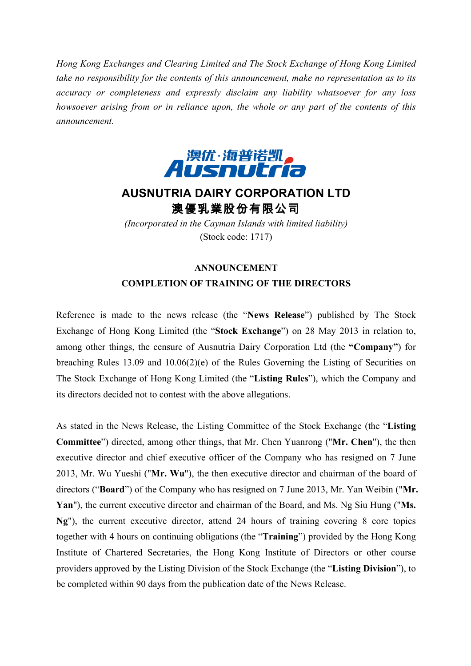*Hong Kong Exchanges and Clearing Limited and The Stock Exchange of Hong Kong Limited take no responsibility for the contents of this announcement, make no representation as to its accuracy or completeness and expressly disclaim any liability whatsoever for any loss howsoever arising from or in reliance upon, the whole or any part of the contents of this announcement.*



## **AUSNUTRIA DAIRY CORPORATION LTD** 澳優乳業股份有限公司

*(Incorporated in the Cayman Islands with limited liability)* (Stock code: 1717)

## **ANNOUNCEMENT COMPLETION OF TRAINING OF THE DIRECTORS**

Reference is made to the news release (the "**News Release**") published by The Stock Exchange of Hong Kong Limited (the "**Stock Exchange**") on 28 May 2013 in relation to, among other things, the censure of Ausnutria Dairy Corporation Ltd (the **"Company"**) for breaching Rules 13.09 and 10.06(2)(e) of the Rules Governing the Listing of Securities on The Stock Exchange of Hong Kong Limited (the "**Listing Rules**"), which the Company and its directors decided not to contest with the above allegations.

As stated in the News Release, the Listing Committee of the Stock Exchange (the "**Listing Committee**") directed, among other things, that Mr. Chen Yuanrong ("**Mr. Chen**"), the then executive director and chief executive officer of the Company who has resigned on 7 June 2013, Mr. Wu Yueshi ("**Mr. Wu**"), the then executive director and chairman of the board of directors ("**Board**") of the Company who has resigned on 7 June 2013, Mr. Yan Weibin ("**Mr. Yan**"), the current executive director and chairman of the Board, and Ms. Ng Siu Hung ("**Ms. Ng**"), the current executive director, attend 24 hours of training covering 8 core topics together with 4 hours on continuing obligations (the "**Training**") provided by the Hong Kong Institute of Chartered Secretaries, the Hong Kong Institute of Directors or other course providers approved by the Listing Division of the Stock Exchange (the "**Listing Division**"), to be completed within 90 days from the publication date of the News Release.